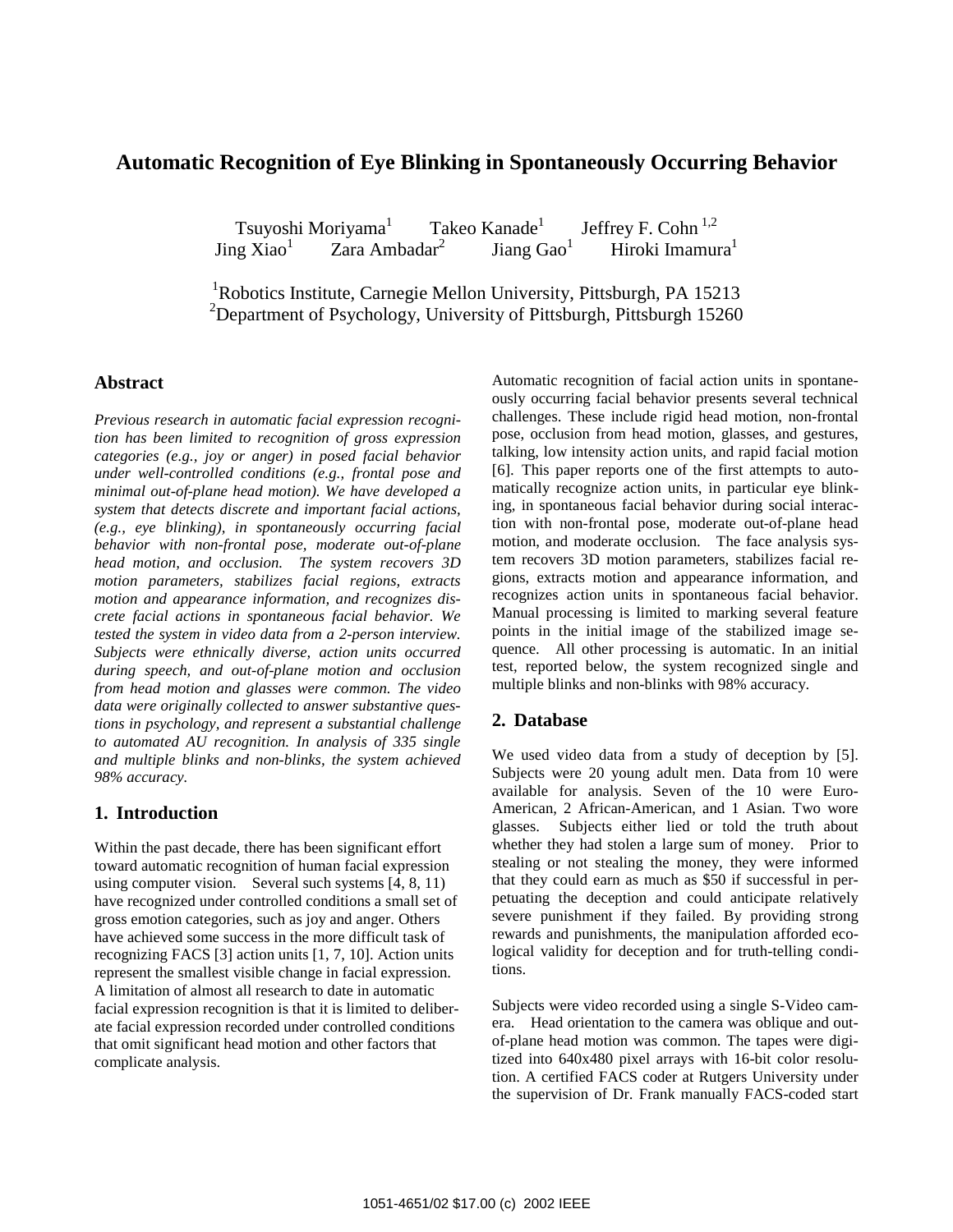# **Automatic Recognition of Eye Blinking in Spontaneously Occurring Behavior**

Tsuyoshi Moriyama<sup>1</sup> Takeo Kanade<sup>1</sup> Jeffrey F. Cohn<sup>1,2</sup> Jing  $Xiao<sup>1</sup>$  Zara Ambadar2 Jiang $\mathrm{Gao}^1$ Hiroki Imamura<sup>1</sup>

<sup>1</sup>Robotics Institute, Carnegie Mellon University, Pittsburgh, PA 15213 <sup>2</sup>Department of Psychology, University of Pittsburgh, Pittsburgh 15260

### **Abstract**

*Previous research in automatic facial expression recognition has been limited to recognition of gross expression categories (e.g., joy or anger) in posed facial behavior under well-controlled conditions (e.g., frontal pose and minimal out-of-plane head motion). We have developed a system that detects discrete and important facial actions, (e.g., eye blinking), in spontaneously occurring facial behavior with non-frontal pose, moderate out-of-plane head motion, and occlusion. The system recovers 3D motion parameters, stabilizes facial regions, extracts motion and appearance information, and recognizes discrete facial actions in spontaneous facial behavior. We tested the system in video data from a 2-person interview. Subjects were ethnically diverse, action units occurred during speech, and out-of-plane motion and occlusion from head motion and glasses were common. The video data were originally collected to answer substantive questions in psychology, and represent a substantial challenge to automated AU recognition. In analysis of 335 single and multiple blinks and non-blinks, the system achieved 98% accuracy.* 

## **1. Introduction**

Within the past decade, there has been significant effort toward automatic recognition of human facial expression using computer vision. Several such systems [4, 8, 11) have recognized under controlled conditions a small set of gross emotion categories, such as joy and anger. Others have achieved some success in the more difficult task of recognizing FACS [3] action units [1, 7, 10]. Action units represent the smallest visible change in facial expression. A limitation of almost all research to date in automatic facial expression recognition is that it is limited to deliberate facial expression recorded under controlled conditions that omit significant head motion and other factors that complicate analysis.

Automatic recognition of facial action units in spontaneously occurring facial behavior presents several technical challenges. These include rigid head motion, non-frontal pose, occlusion from head motion, glasses, and gestures, talking, low intensity action units, and rapid facial motion [6]. This paper reports one of the first attempts to automatically recognize action units, in particular eye blinking, in spontaneous facial behavior during social interaction with non-frontal pose, moderate out-of-plane head motion, and moderate occlusion. The face analysis system recovers 3D motion parameters, stabilizes facial regions, extracts motion and appearance information, and recognizes action units in spontaneous facial behavior. Manual processing is limited to marking several feature points in the initial image of the stabilized image sequence. All other processing is automatic. In an initial test, reported below, the system recognized single and multiple blinks and non-blinks with 98% accuracy.

### **2. Database**

We used video data from a study of deception by [5]. Subjects were 20 young adult men. Data from 10 were available for analysis. Seven of the 10 were Euro-American, 2 African-American, and 1 Asian. Two wore glasses. Subjects either lied or told the truth about whether they had stolen a large sum of money. Prior to stealing or not stealing the money, they were informed that they could earn as much as \$50 if successful in perpetuating the deception and could anticipate relatively severe punishment if they failed. By providing strong rewards and punishments, the manipulation afforded ecological validity for deception and for truth-telling conditions.

Subjects were video recorded using a single S-Video camera. Head orientation to the camera was oblique and outof-plane head motion was common. The tapes were digitized into 640x480 pixel arrays with 16-bit color resolution. A certified FACS coder at Rutgers University under the supervision of Dr. Frank manually FACS-coded start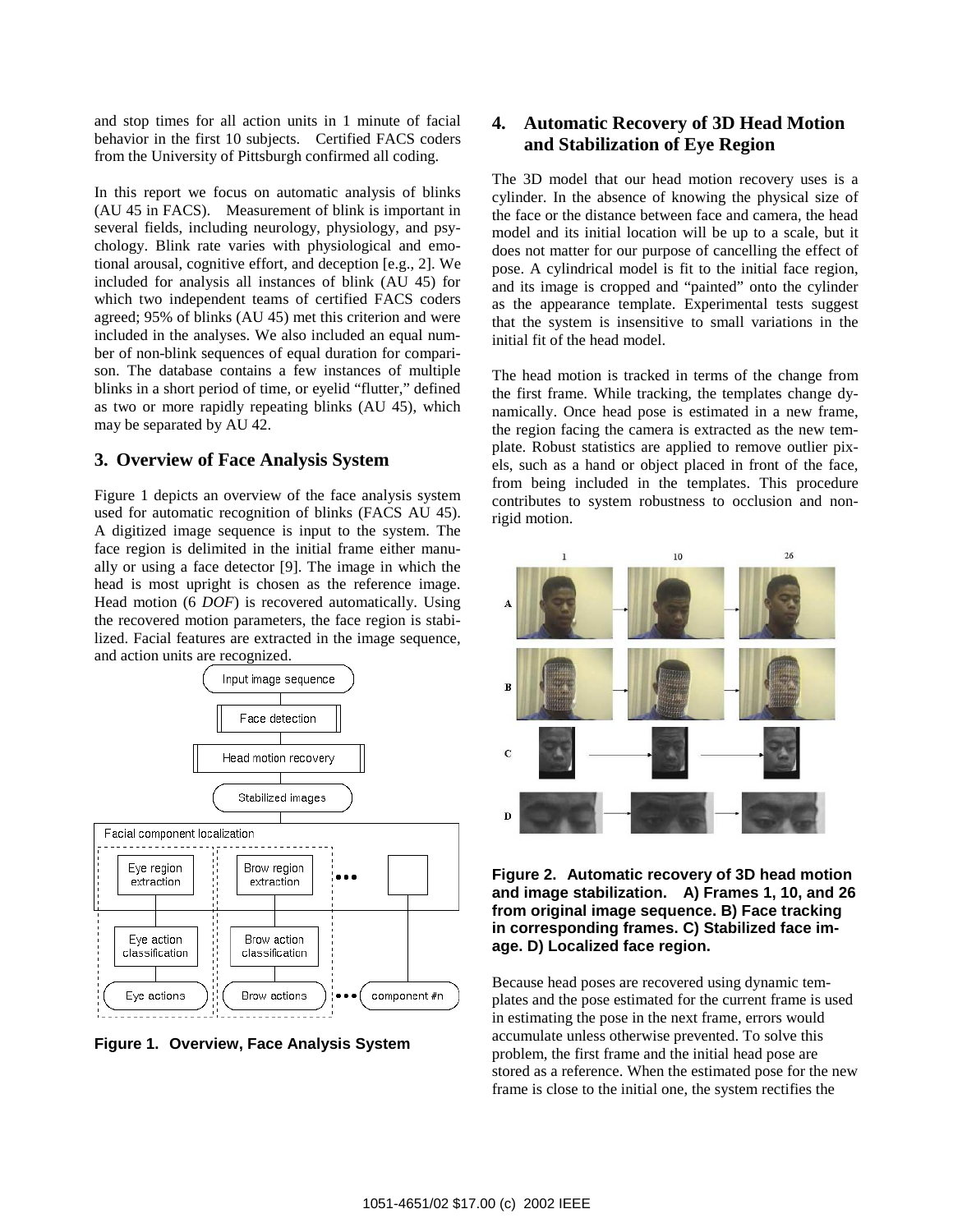and stop times for all action units in 1 minute of facial behavior in the first 10 subjects. Certified FACS coders from the University of Pittsburgh confirmed all coding.

In this report we focus on automatic analysis of blinks (AU 45 in FACS). Measurement of blink is important in several fields, including neurology, physiology, and psychology. Blink rate varies with physiological and emotional arousal, cognitive effort, and deception [e.g., 2]. We included for analysis all instances of blink (AU 45) for which two independent teams of certified FACS coders agreed; 95% of blinks (AU 45) met this criterion and were included in the analyses. We also included an equal number of non-blink sequences of equal duration for comparison. The database contains a few instances of multiple blinks in a short period of time, or eyelid "flutter," defined as two or more rapidly repeating blinks (AU 45), which may be separated by AU 42.

### **3. Overview of Face Analysis System**

Figure 1 depicts an overview of the face analysis system used for automatic recognition of blinks (FACS AU 45). A digitized image sequence is input to the system. The face region is delimited in the initial frame either manually or using a face detector [9]. The image in which the head is most upright is chosen as the reference image. Head motion (6 *DOF*) is recovered automatically. Using the recovered motion parameters, the face region is stabilized. Facial features are extracted in the image sequence, and action units are recognized.



**Figure 1. Overview, Face Analysis System** 

## **4. Automatic Recovery of 3D Head Motion and Stabilization of Eye Region**

The 3D model that our head motion recovery uses is a cylinder. In the absence of knowing the physical size of the face or the distance between face and camera, the head model and its initial location will be up to a scale, but it does not matter for our purpose of cancelling the effect of pose. A cylindrical model is fit to the initial face region, and its image is cropped and "painted" onto the cylinder as the appearance template. Experimental tests suggest that the system is insensitive to small variations in the initial fit of the head model.

The head motion is tracked in terms of the change from the first frame. While tracking, the templates change dynamically. Once head pose is estimated in a new frame, the region facing the camera is extracted as the new template. Robust statistics are applied to remove outlier pixels, such as a hand or object placed in front of the face, from being included in the templates. This procedure contributes to system robustness to occlusion and nonrigid motion.



#### **Figure 2. Automatic recovery of 3D head motion and image stabilization. A) Frames 1, 10, and 26 from original image sequence. B) Face tracking in corresponding frames. C) Stabilized face image. D) Localized face region.**

Because head poses are recovered using dynamic templates and the pose estimated for the current frame is used in estimating the pose in the next frame, errors would accumulate unless otherwise prevented. To solve this problem, the first frame and the initial head pose are stored as a reference. When the estimated pose for the new frame is close to the initial one, the system rectifies the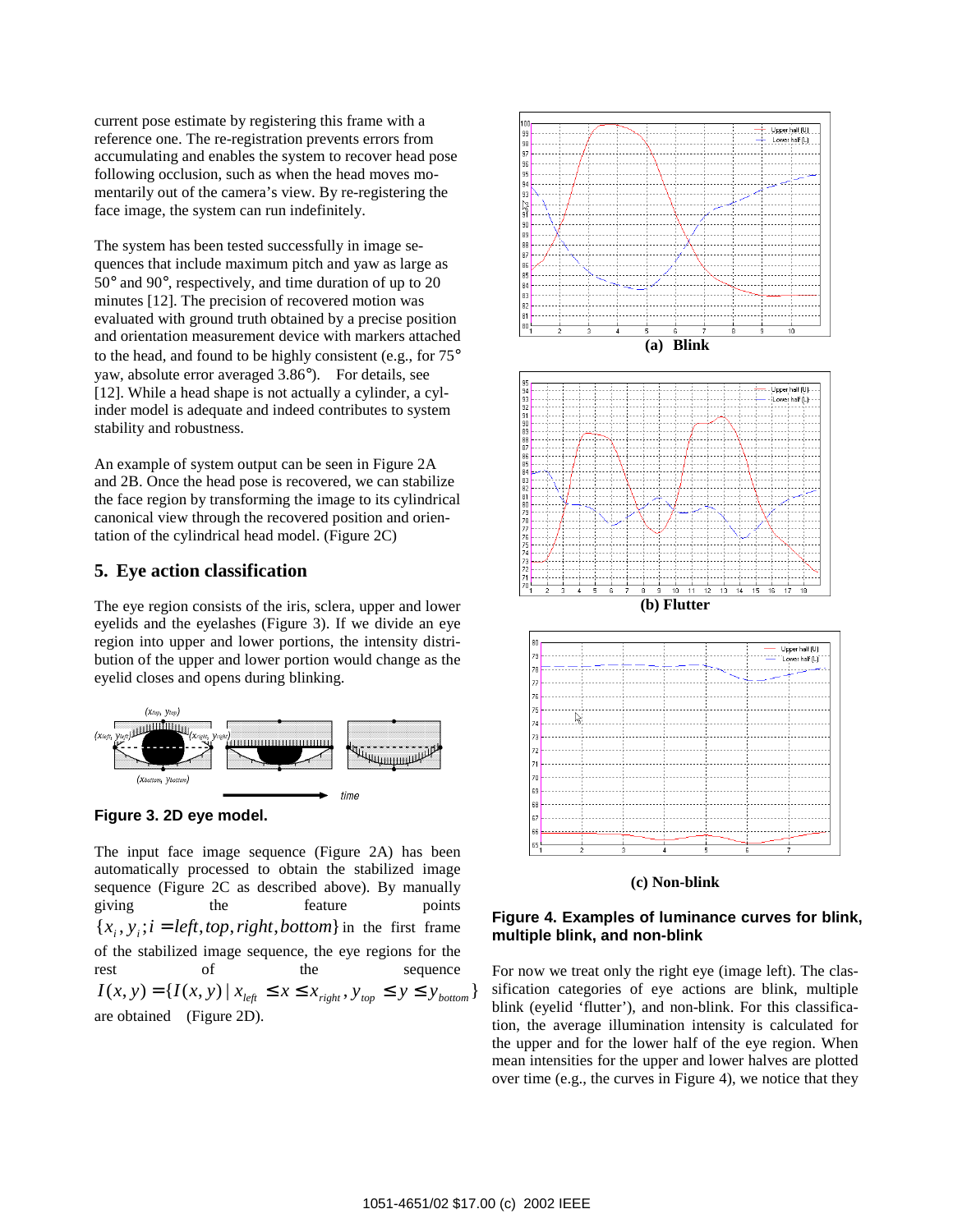current pose estimate by registering this frame with a reference one. The re-registration prevents errors from accumulating and enables the system to recover head pose following occlusion, such as when the head moves momentarily out of the camera's view. By re-registering the face image, the system can run indefinitely.

The system has been tested successfully in image sequences that include maximum pitch and yaw as large as 50° and 90°, respectively, and time duration of up to 20 minutes [12]. The precision of recovered motion was evaluated with ground truth obtained by a precise position and orientation measurement device with markers attached to the head, and found to be highly consistent (e.g., for 75° yaw, absolute error averaged 3.86°). For details, see [12]. While a head shape is not actually a cylinder, a cylinder model is adequate and indeed contributes to system stability and robustness.

An example of system output can be seen in Figure 2A and 2B. Once the head pose is recovered, we can stabilize the face region by transforming the image to its cylindrical canonical view through the recovered position and orientation of the cylindrical head model. (Figure 2C)

#### **5. Eye action classification**

The eye region consists of the iris, sclera, upper and lower eyelids and the eyelashes (Figure 3). If we divide an eye region into upper and lower portions, the intensity distribution of the upper and lower portion would change as the eyelid closes and opens during blinking.





The input face image sequence (Figure 2A) has been automatically processed to obtain the stabilized image sequence (Figure 2C as described above). By manually giving the feature points  ${x_i, y_i; i = left, top, right, bottom}$  in the first frame of the stabilized image sequence, the eye regions for the rest of the sequence  $I(x, y) = {I(x, y) | x_{left} \le x \le x_{right} , y_{top} \le y \le y_{bottom}}$ are obtained (Figure 2D).









**(c) Non-blink** 

#### **Figure 4. Examples of luminance curves for blink, multiple blink, and non-blink**

For now we treat only the right eye (image left). The classification categories of eye actions are blink, multiple blink (eyelid 'flutter'), and non-blink. For this classification, the average illumination intensity is calculated for the upper and for the lower half of the eye region. When mean intensities for the upper and lower halves are plotted over time (e.g., the curves in Figure 4), we notice that they